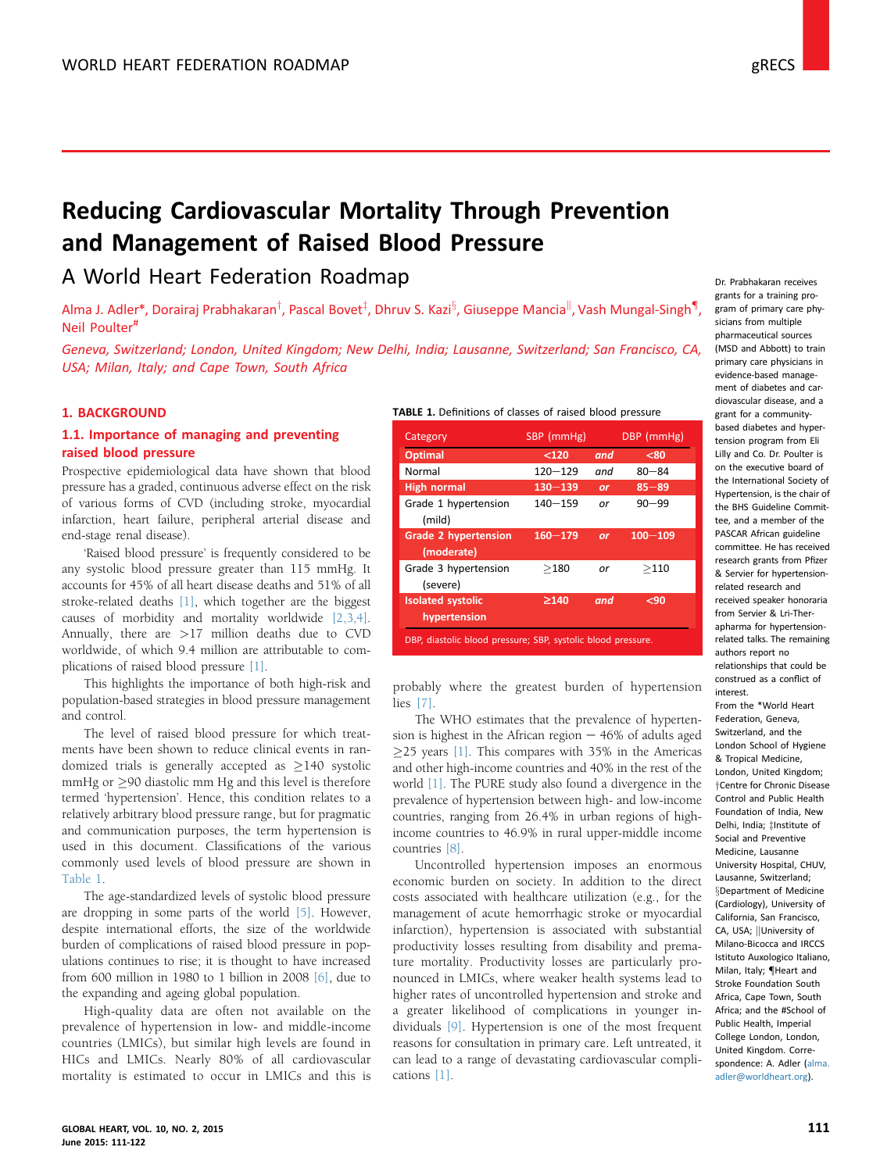# <span id="page-0-0"></span>Reducing Cardiovascular Mortality Through Prevention and Management of Raised Blood Pressure

# A World Heart Federation Roadmap

Alma J. Adler\*, Dorairaj Prabhakaran<sup>T</sup>, Pascal Bovet<sup>‡</sup>, Dhruv S. Kazi<sup>s</sup>, Giuseppe Mancia<sup>ll</sup>, Vash Mungal-Singh<sup>¶</sup>, Neil Poulter#

Geneva, Switzerland; London, United Kingdom; New Delhi, India; Lausanne, Switzerland; San Francisco, CA, USA; Milan, Italy; and Cape Town, South Africa

# 1. BACKGROUND

# 1.1. Importance of managing and preventing raised blood pressure

Prospective epidemiological data have shown that blood pressure has a graded, continuous adverse effect on the risk of various forms of CVD (including stroke, myocardial infarction, heart failure, peripheral arterial disease and end-stage renal disease).

'Raised blood pressure' is frequently considered to be any systolic blood pressure greater than 115 mmHg. It accounts for 45% of all heart disease deaths and 51% of all stroke-related deaths [\[1\],](#page-8-0) which together are the biggest causes of morbidity and mortality worldwide [\[2,3,4\].](#page-8-0) Annually, there are >17 million deaths due to CVD worldwide, of which 9.4 million are attributable to complications of raised blood pressure [\[1\]](#page-8-0).

This highlights the importance of both high-risk and population-based strategies in blood pressure management and control.

The level of raised blood pressure for which treatments have been shown to reduce clinical events in randomized trials is generally accepted as  $\geq$ 140 systolic  $mmHg$  or  $\geq$ 90 diastolic mm Hg and this level is therefore termed 'hypertension'. Hence, this condition relates to a relatively arbitrary blood pressure range, but for pragmatic and communication purposes, the term hypertension is used in this document. Classifications of the various commonly used levels of blood pressure are shown in Table 1.

The age-standardized levels of systolic blood pressure are dropping in some parts of the world [\[5\].](#page-8-0) However, despite international efforts, the size of the worldwide burden of complications of raised blood pressure in populations continues to rise; it is thought to have increased from 600 million in 1980 to 1 billion in 2008 [\[6\],](#page-8-0) due to the expanding and ageing global population.

High-quality data are often not available on the prevalence of hypertension in low- and middle-income countries (LMICs), but similar high levels are found in HICs and LMICs. Nearly 80% of all cardiovascular mortality is estimated to occur in LMICs and this is

|  | TABLE 1. Definitions of classes of raised blood pressure |  |  |  |
|--|----------------------------------------------------------|--|--|--|
|  |                                                          |  |  |  |

| SBP (mmHg)  |     | DBP (mmHg)  |
|-------------|-----|-------------|
| < 120       | and | $80$        |
| $120 - 129$ | and | $80 - 84$   |
| $130 - 139$ | or  | $85 - 89$   |
| $140 - 159$ | or  | $90 - 99$   |
| $160 - 179$ | or  | $100 - 109$ |
| >180        | or  | >110        |
| $\geq$ 140  | and | $90$        |
|             |     |             |

probably where the greatest burden of hypertension lies [\[7\].](#page-8-0)

The WHO estimates that the prevalence of hypertension is highest in the African region  $-46%$  of adults aged  $\geq$ 25 years [\[1\]](#page-8-0). This compares with 35% in the Americas and other high-income countries and 40% in the rest of the world [\[1\].](#page-8-0) The PURE study also found a divergence in the prevalence of hypertension between high- and low-income countries, ranging from 26.4% in urban regions of highincome countries to 46.9% in rural upper-middle income countries [\[8\]](#page-8-0).

Uncontrolled hypertension imposes an enormous economic burden on society. In addition to the direct costs associated with healthcare utilization (e.g., for the management of acute hemorrhagic stroke or myocardial infarction), hypertension is associated with substantial productivity losses resulting from disability and premature mortality. Productivity losses are particularly pronounced in LMICs, where weaker health systems lead to higher rates of uncontrolled hypertension and stroke and a greater likelihood of complications in younger individuals [\[9\]](#page-8-0). Hypertension is one of the most frequent reasons for consultation in primary care. Left untreated, it can lead to a range of devastating cardiovascular complications [\[1\].](#page-8-0)

Dr. Prabhakaran receives grants for a training program of primary care physicians from multiple pharmaceutical sources (MSD and Abbott) to train primary care physicians in evidence-based management of diabetes and cardiovascular disease, and a grant for a communitybased diabetes and hypertension program from Eli Lilly and Co. Dr. Poulter is on the executive board of the International Society of Hypertension, is the chair of the BHS Guideline Committee, and a member of the PASCAR African guideline committee. He has received research grants from Pfizer & Servier for hypertensionrelated research and received speaker honoraria from Servier & Lri-Therapharma for hypertensionrelated talks. The remaining authors report no relationships that could be construed as a conflict of interest.

From the \*World Heart Federation, Geneva, Switzerland, and the London School of Hygiene & Tropical Medicine, London, United Kingdom; <sup>†</sup>Centre for Chronic Disease Control and Public Health Foundation of India, New Delhi, India; ‡Institute of Social and Preventive Medicine, Lausanne University Hospital, CHUV, Lausanne, Switzerland; [x](#page-8-0)Department of Medicine (Cardiology), University of California, San Francisco, CA, USA: University of Milano-Bicocca and IRCCS Istituto Auxologico Italiano, Milan, Italy: *IHeart and* Stroke Foundation South Africa, Cape Town, South Africa; and the #School of Public Health, Imperial College London, London, United Kingdom. Correspondence: A. Adler [\(alma.](mailto:alma.adler@worldheart.org) [adler@worldheart.org\)](mailto:alma.adler@worldheart.org).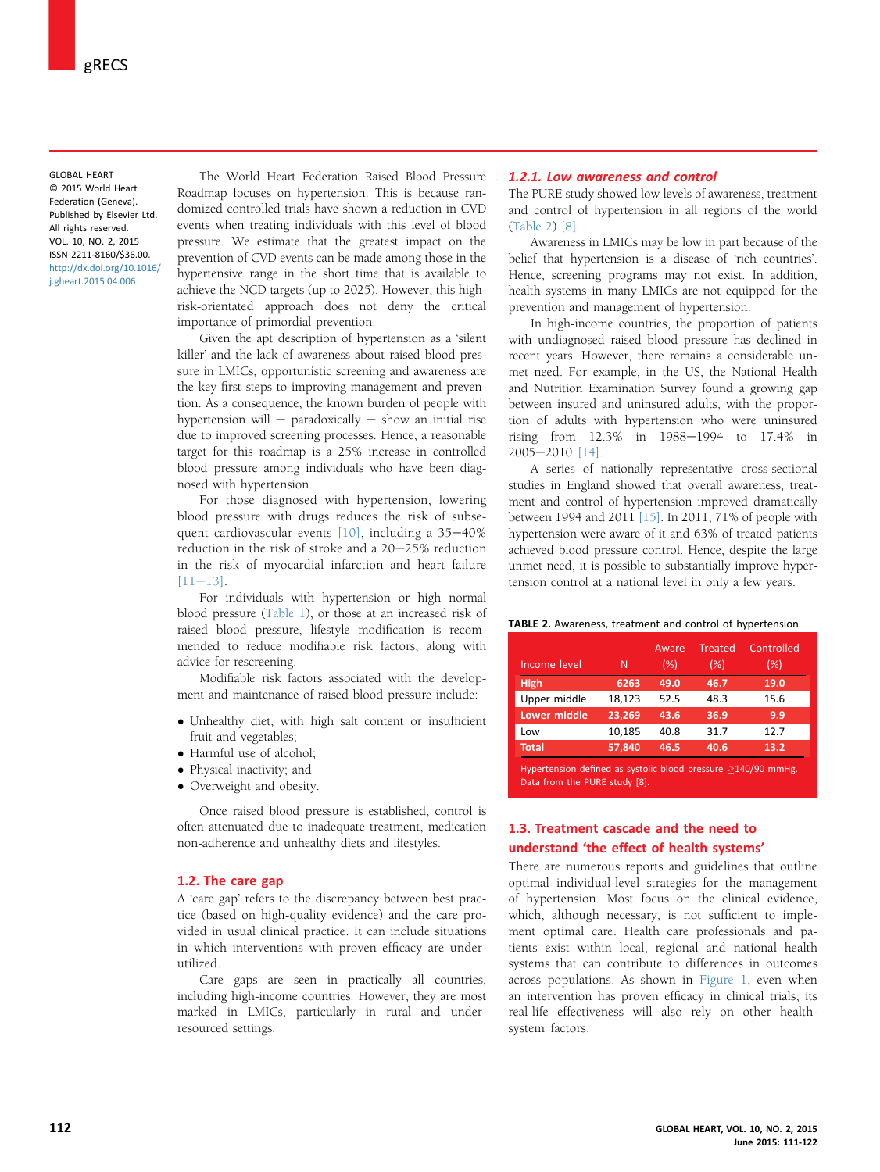GLOBAL HEART © 2015 World Heart Federation (Geneva). Published by Elsevier Ltd. All rights reserved. VOL. 10, NO. 2, 2015 ISSN 2211-8160/\$36.00. [http://dx.doi.org/10.1016/](http://dx.doi.org/10.1016/j.gheart.2015.04.006) [j.gheart.2015.04.006](http://dx.doi.org/10.1016/j.gheart.2015.04.006)

The World Heart Federation Raised Blood Pressure Roadmap focuses on hypertension. This is because randomized controlled trials have shown a reduction in CVD events when treating individuals with this level of blood pressure. We estimate that the greatest impact on the prevention of CVD events can be made among those in the hypertensive range in the short time that is available to achieve the NCD targets (up to 2025). However, this highrisk-orientated approach does not deny the critical importance of primordial prevention.

Given the apt description of hypertension as a 'silent killer' and the lack of awareness about raised blood pressure in LMICs, opportunistic screening and awareness are the key first steps to improving management and prevention. As a consequence, the known burden of people with hypertension will  $-$  paradoxically  $-$  show an initial rise due to improved screening processes. Hence, a reasonable target for this roadmap is a 25% increase in controlled blood pressure among individuals who have been diagnosed with hypertension.

For those diagnosed with hypertension, lowering blood pressure with drugs reduces the risk of subsequent cardiovascular events  $[10]$ , including a 35-40% reduction in the risk of stroke and a 20-25% reduction in the risk of myocardial infarction and heart failure  $[11-13]$  $[11-13]$ .

For individuals with hypertension or high normal blood pressure ([Table 1\)](#page-0-0), or those at an increased risk of raised blood pressure, lifestyle modification is recommended to reduce modifiable risk factors, along with advice for rescreening.

Modifiable risk factors associated with the development and maintenance of raised blood pressure include:

- Unhealthy diet, with high salt content or insufficient fruit and vegetables;
- Harmful use of alcohol;
- Physical inactivity; and
- Overweight and obesity.

Once raised blood pressure is established, control is often attenuated due to inadequate treatment, medication non-adherence and unhealthy diets and lifestyles.

#### 1.2. The care gap

A 'care gap' refers to the discrepancy between best practice (based on high-quality evidence) and the care provided in usual clinical practice. It can include situations in which interventions with proven efficacy are underutilized.

Care gaps are seen in practically all countries, including high-income countries. However, they are most marked in LMICs, particularly in rural and underresourced settings.

# 1.2.1. Low awareness and control

The PURE study showed low levels of awareness, treatment and control of hypertension in all regions of the world (Table 2) [\[8\]](#page-8-0).

Awareness in LMICs may be low in part because of the belief that hypertension is a disease of 'rich countries'. Hence, screening programs may not exist. In addition, health systems in many LMICs are not equipped for the prevention and management of hypertension.

In high-income countries, the proportion of patients with undiagnosed raised blood pressure has declined in recent years. However, there remains a considerable unmet need. For example, in the US, the National Health and Nutrition Examination Survey found a growing gap between insured and uninsured adults, with the proportion of adults with hypertension who were uninsured rising from  $12.3\%$  in  $1988-1994$  to  $17.4\%$  in 2005e2010 [\[14\]](#page-8-0).

A series of nationally representative cross-sectional studies in England showed that overall awareness, treatment and control of hypertension improved dramatically between 1994 and 2011 [\[15\]](#page-8-0). In 2011, 71% of people with hypertension were aware of it and 63% of treated patients achieved blood pressure control. Hence, despite the large unmet need, it is possible to substantially improve hypertension control at a national level in only a few years.

TABLE 2. Awareness, treatment and control of hypertension

| Income level                                                   | N      | Aware<br>(% ) | <b>Treated</b><br>(%) | Controlled<br>(% ) |  |  |
|----------------------------------------------------------------|--------|---------------|-----------------------|--------------------|--|--|
| <b>High</b>                                                    | 6263   | 49.0          | 46.7                  | 19.0               |  |  |
| Upper middle                                                   | 18.123 | 52.5          | 48.3                  | 15.6               |  |  |
| <b>Lower middle</b>                                            | 23.269 | 43.6          | 36.9                  | 9.9                |  |  |
| Low                                                            | 10.185 | 40.8          | 31.7                  | 12.7               |  |  |
| <b>Total</b>                                                   | 57.840 | 46.5          | 40.6                  | 13.2               |  |  |
| Hypertancian defined as systelic blood pressure $>140/90$ mmHg |        |               |                       |                    |  |  |

Hypertension defined as systolic blood pressure  $\geq$ <br>Data from the PURE study [8]. 140/90 mmHg.

# 1.3. Treatment cascade and the need to understand 'the effect of health systems'

There are numerous reports and guidelines that outline optimal individual-level strategies for the management of hypertension. Most focus on the clinical evidence, which, although necessary, is not sufficient to implement optimal care. Health care professionals and patients exist within local, regional and national health systems that can contribute to differences in outcomes across populations. As shown in [Figure 1,](#page-2-0) even when an intervention has proven efficacy in clinical trials, its real-life effectiveness will also rely on other healthsystem factors.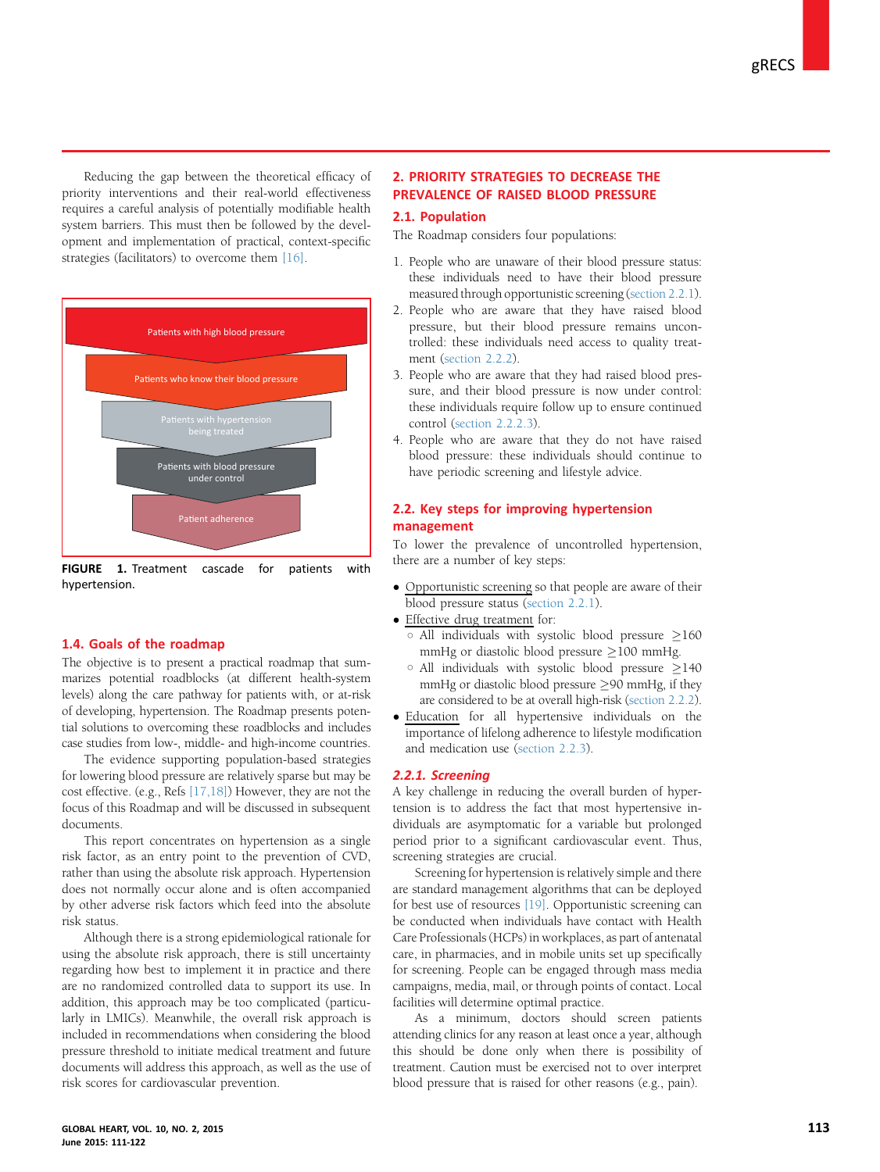<span id="page-2-0"></span>Reducing the gap between the theoretical efficacy of priority interventions and their real-world effectiveness requires a careful analysis of potentially modifiable health system barriers. This must then be followed by the development and implementation of practical, context-specific strategies (facilitators) to overcome them [\[16\].](#page-8-0)



FIGURE 1. Treatment cascade for patients with hypertension.

#### 1.4. Goals of the roadmap

The objective is to present a practical roadmap that summarizes potential roadblocks (at different health-system levels) along the care pathway for patients with, or at-risk of developing, hypertension. The Roadmap presents potential solutions to overcoming these roadblocks and includes case studies from low-, middle- and high-income countries.

The evidence supporting population-based strategies for lowering blood pressure are relatively sparse but may be cost effective. (e.g., Refs [\[17,18\]](#page-8-0)) However, they are not the focus of this Roadmap and will be discussed in subsequent documents.

This report concentrates on hypertension as a single risk factor, as an entry point to the prevention of CVD, rather than using the absolute risk approach. Hypertension does not normally occur alone and is often accompanied by other adverse risk factors which feed into the absolute risk status.

Although there is a strong epidemiological rationale for using the absolute risk approach, there is still uncertainty regarding how best to implement it in practice and there are no randomized controlled data to support its use. In addition, this approach may be too complicated (particularly in LMICs). Meanwhile, the overall risk approach is included in recommendations when considering the blood pressure threshold to initiate medical treatment and future documents will address this approach, as well as the use of risk scores for cardiovascular prevention.

# 2. PRIORITY STRATEGIES TO DECREASE THE PREVALENCE OF RAISED BLOOD PRESSURE

# 2.1. Population

The Roadmap considers four populations:

- 1. People who are unaware of their blood pressure status: these individuals need to have their blood pressure measured through opportunistic screening (section 2.2.1).
- 2. People who are aware that they have raised blood pressure, but their blood pressure remains uncontrolled: these individuals need access to quality treatment ([section 2.2.2\)](#page-3-0).
- 3. People who are aware that they had raised blood pressure, and their blood pressure is now under control: these individuals require follow up to ensure continued control [\(section 2.2.2.3\)](#page-4-0).
- 4. People who are aware that they do not have raised blood pressure: these individuals should continue to have periodic screening and lifestyle advice.

# 2.2. Key steps for improving hypertension management

To lower the prevalence of uncontrolled hypertension, there are a number of key steps:

- Opportunistic screening so that people are aware of their blood pressure status (section 2.2.1).
- Effective drug treatment for:
	- $\circ$  All individuals with systolic blood pressure  $\geq$ 160 mmHg or diastolic blood pressure  $\geq$ 100 mmHg.
	- $\circ$  All individuals with systolic blood pressure  $\geq$ 140  $mmHg$  or diastolic blood pressure  $\geq$ 90 mmHg, if they are considered to be at overall high-risk [\(section 2.2.2](#page-3-0)).
- Education for all hypertensive individuals on the importance of lifelong adherence to lifestyle modification and medication use ([section 2.2.3\)](#page-4-0).

#### 2.2.1. Screening

A key challenge in reducing the overall burden of hypertension is to address the fact that most hypertensive individuals are asymptomatic for a variable but prolonged period prior to a significant cardiovascular event. Thus, screening strategies are crucial.

Screening for hypertension is relatively simple and there are standard management algorithms that can be deployed for best use of resources [\[19\].](#page-8-0) Opportunistic screening can be conducted when individuals have contact with Health Care Professionals (HCPs) in workplaces, as part of antenatal care, in pharmacies, and in mobile units set up specifically for screening. People can be engaged through mass media campaigns, media, mail, or through points of contact. Local facilities will determine optimal practice.

As a minimum, doctors should screen patients attending clinics for any reason at least once a year, although this should be done only when there is possibility of treatment. Caution must be exercised not to over interpret blood pressure that is raised for other reasons (e.g., pain).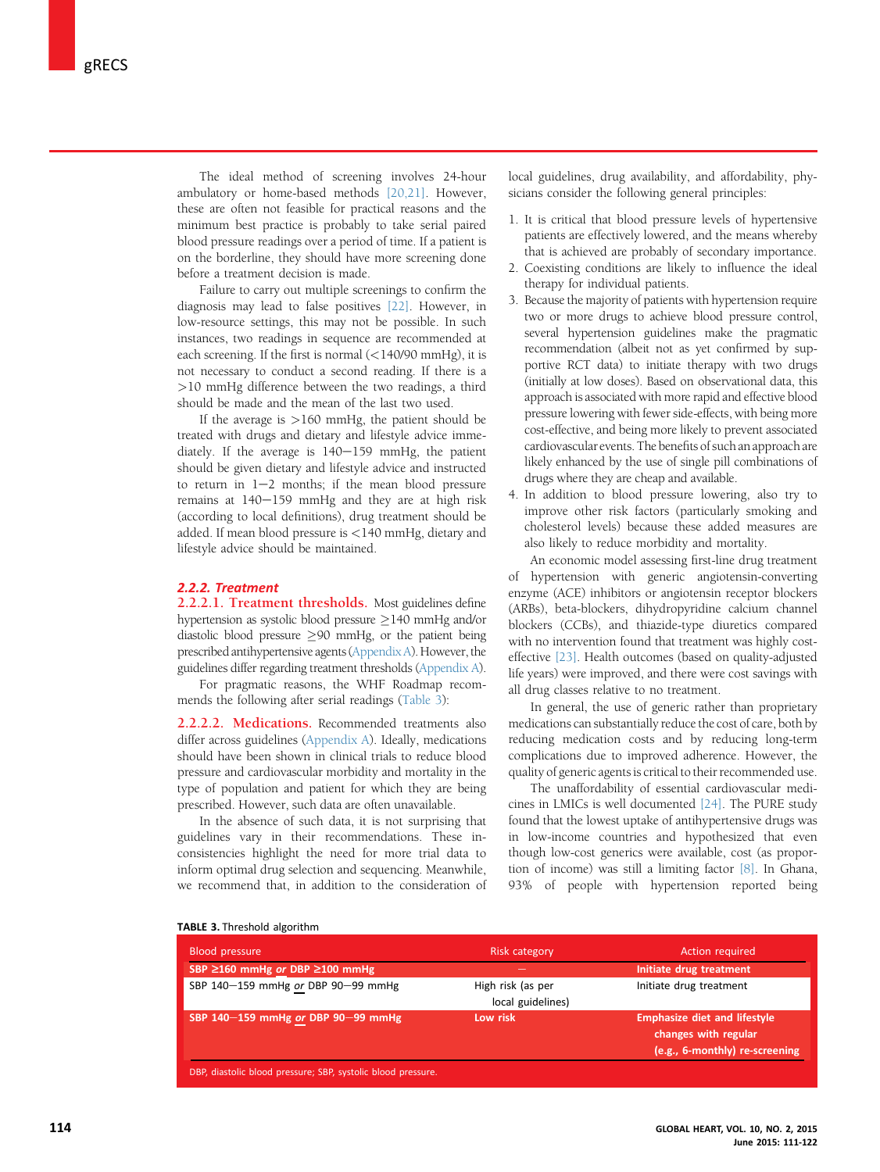<span id="page-3-0"></span>The ideal method of screening involves 24-hour ambulatory or home-based methods [\[20,21\]](#page-8-0). However, these are often not feasible for practical reasons and the minimum best practice is probably to take serial paired blood pressure readings over a period of time. If a patient is on the borderline, they should have more screening done before a treatment decision is made.

Failure to carry out multiple screenings to confirm the diagnosis may lead to false positives [\[22\]](#page-8-0). However, in low-resource settings, this may not be possible. In such instances, two readings in sequence are recommended at each screening. If the first is normal (<140/90 mmHg), it is not necessary to conduct a second reading. If there is a >10 mmHg difference between the two readings, a third should be made and the mean of the last two used.

If the average is  $>160$  mmHg, the patient should be treated with drugs and dietary and lifestyle advice immediately. If the average is  $140-159$  mmHg, the patient should be given dietary and lifestyle advice and instructed to return in  $1-2$  months; if the mean blood pressure remains at  $140-159$  mmHg and they are at high risk (according to local definitions), drug treatment should be added. If mean blood pressure is <140 mmHg, dietary and lifestyle advice should be maintained.

# 2.2.2. Treatment

2.2.2.1. Treatment thresholds. Most guidelines define hypertension as systolic blood pressure  $\geq$ 140 mmHg and/or diastolic blood pressure  $\geq$ 90 mmHg, or the patient being prescribed antihypertensive agents  $(Appendix A)$  $(Appendix A)$  $(Appendix A)$ . However, the guidelines differ regarding treatment thresholds ([Appendix A](#page-10-0)).

For pragmatic reasons, the WHF Roadmap recommends the following after serial readings (Table 3):

2.2.2.2. Medications. Recommended treatments also differ across guidelines [\(Appendix A](#page-10-0)). Ideally, medications should have been shown in clinical trials to reduce blood pressure and cardiovascular morbidity and mortality in the type of population and patient for which they are being prescribed. However, such data are often unavailable.

In the absence of such data, it is not surprising that guidelines vary in their recommendations. These inconsistencies highlight the need for more trial data to inform optimal drug selection and sequencing. Meanwhile, we recommend that, in addition to the consideration of local guidelines, drug availability, and affordability, physicians consider the following general principles:

- 1. It is critical that blood pressure levels of hypertensive patients are effectively lowered, and the means whereby that is achieved are probably of secondary importance.
- 2. Coexisting conditions are likely to influence the ideal therapy for individual patients.
- 3. Because the majority of patients with hypertension require two or more drugs to achieve blood pressure control, several hypertension guidelines make the pragmatic recommendation (albeit not as yet confirmed by supportive RCT data) to initiate therapy with two drugs (initially at low doses). Based on observational data, this approach is associated with more rapid and effective blood pressure lowering with fewer side-effects, with being more cost-effective, and being more likely to prevent associated cardiovascular events. The benefits of such an approach are likely enhanced by the use of single pill combinations of drugs where they are cheap and available.
- 4. In addition to blood pressure lowering, also try to improve other risk factors (particularly smoking and cholesterol levels) because these added measures are also likely to reduce morbidity and mortality.

An economic model assessing first-line drug treatment of hypertension with generic angiotensin-converting enzyme (ACE) inhibitors or angiotensin receptor blockers (ARBs), beta-blockers, dihydropyridine calcium channel blockers (CCBs), and thiazide-type diuretics compared with no intervention found that treatment was highly costeffective [\[23\].](#page-8-0) Health outcomes (based on quality-adjusted life years) were improved, and there were cost savings with all drug classes relative to no treatment.

In general, the use of generic rather than proprietary medications can substantially reduce the cost of care, both by reducing medication costs and by reducing long-term complications due to improved adherence. However, the quality of generic agents is critical to their recommended use.

The unaffordability of essential cardiovascular medicines in LMICs is well documented [\[24\].](#page-8-0) The PURE study found that the lowest uptake of antihypertensive drugs was in low-income countries and hypothesized that even though low-cost generics were available, cost (as proportion of income) was still a limiting factor [\[8\]](#page-8-0). In Ghana, 93% of people with hypertension reported being

| <b>Blood pressure</b>                                        | <b>Risk category</b> | Action required                     |
|--------------------------------------------------------------|----------------------|-------------------------------------|
| SBP ≥160 mmHg or DBP ≥100 mmHg                               |                      | Initiate drug treatment             |
| SBP 140-159 mmHg or DBP 90-99 mmHg                           | High risk (as per    | Initiate drug treatment             |
|                                                              | local guidelines)    |                                     |
| SBP 140-159 mmHg or DBP 90-99 mmHg                           | Low risk             | <b>Emphasize diet and lifestyle</b> |
|                                                              |                      | changes with regular                |
|                                                              |                      | (e.g., 6-monthly) re-screening      |
| DBP, diastolic blood pressure; SBP, systolic blood pressure. |                      |                                     |

#### TABLE 3. Threshold algorithm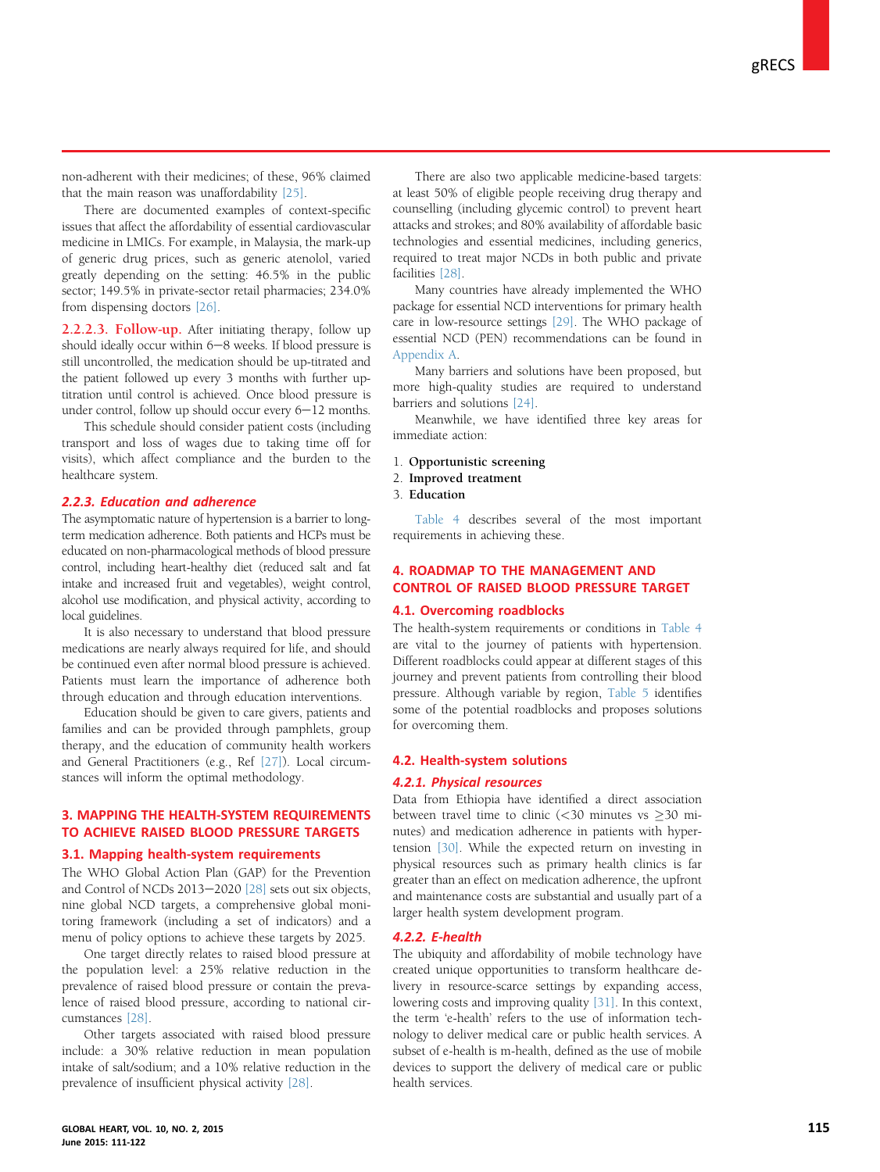<span id="page-4-0"></span>non-adherent with their medicines; of these, 96% claimed that the main reason was unaffordability [\[25\].](#page-8-0)

There are documented examples of context-specific issues that affect the affordability of essential cardiovascular medicine in LMICs. For example, in Malaysia, the mark-up of generic drug prices, such as generic atenolol, varied greatly depending on the setting: 46.5% in the public sector; 149.5% in private-sector retail pharmacies; 234.0% from dispensing doctors [\[26\]](#page-8-0).

2.2.2.3. Follow-up. After initiating therapy, follow up should ideally occur within  $6-8$  weeks. If blood pressure is still uncontrolled, the medication should be up-titrated and the patient followed up every 3 months with further uptitration until control is achieved. Once blood pressure is under control, follow up should occur every  $6-12$  months.

This schedule should consider patient costs (including transport and loss of wages due to taking time off for visits), which affect compliance and the burden to the healthcare system.

#### 2.2.3. Education and adherence

The asymptomatic nature of hypertension is a barrier to longterm medication adherence. Both patients and HCPs must be educated on non-pharmacological methods of blood pressure control, including heart-healthy diet (reduced salt and fat intake and increased fruit and vegetables), weight control, alcohol use modification, and physical activity, according to local guidelines.

It is also necessary to understand that blood pressure medications are nearly always required for life, and should be continued even after normal blood pressure is achieved. Patients must learn the importance of adherence both through education and through education interventions.

Education should be given to care givers, patients and families and can be provided through pamphlets, group therapy, and the education of community health workers and General Practitioners (e.g., Ref [\[27\]](#page-8-0)). Local circumstances will inform the optimal methodology.

# 3. MAPPING THE HEALTH-SYSTEM REQUIREMENTS TO ACHIEVE RAISED BLOOD PRESSURE TARGETS

# 3.1. Mapping health-system requirements

The WHO Global Action Plan (GAP) for the Prevention and Control of NCDs 2013-2020 [\[28\]](#page-8-0) sets out six objects, nine global NCD targets, a comprehensive global monitoring framework (including a set of indicators) and a menu of policy options to achieve these targets by 2025.

One target directly relates to raised blood pressure at the population level: a 25% relative reduction in the prevalence of raised blood pressure or contain the prevalence of raised blood pressure, according to national circumstances [\[28\]](#page-8-0).

Other targets associated with raised blood pressure include: a 30% relative reduction in mean population intake of salt/sodium; and a 10% relative reduction in the prevalence of insufficient physical activity [\[28\].](#page-8-0)

There are also two applicable medicine-based targets: at least 50% of eligible people receiving drug therapy and counselling (including glycemic control) to prevent heart attacks and strokes; and 80% availability of affordable basic technologies and essential medicines, including generics, required to treat major NCDs in both public and private facilities [\[28\]](#page-8-0).

Many countries have already implemented the WHO package for essential NCD interventions for primary health care in low-resource settings [\[29\].](#page-9-0) The WHO package of essential NCD (PEN) recommendations can be found in [Appendix A](#page-10-0).

Many barriers and solutions have been proposed, but more high-quality studies are required to understand barriers and solutions [\[24\].](#page-8-0)

Meanwhile, we have identified three key areas for immediate action:

- 1. Opportunistic screening
- 2. Improved treatment
- 3. Education

[Table 4](#page-5-0) describes several of the most important requirements in achieving these.

# 4. ROADMAP TO THE MANAGEMENT AND CONTROL OF RAISED BLOOD PRESSURE TARGET

### 4.1. Overcoming roadblocks

The health-system requirements or conditions in [Table 4](#page-5-0) are vital to the journey of patients with hypertension. Different roadblocks could appear at different stages of this journey and prevent patients from controlling their blood pressure. Although variable by region, [Table 5](#page-7-0) identifies some of the potential roadblocks and proposes solutions for overcoming them.

#### 4.2. Health-system solutions

# 4.2.1. Physical resources

Data from Ethiopia have identified a direct association between travel time to clinic  $\left(\langle 30 \rangle \right)$  minutes vs  $\geq 30$  minutes) and medication adherence in patients with hypertension [\[30\].](#page-9-0) While the expected return on investing in physical resources such as primary health clinics is far greater than an effect on medication adherence, the upfront and maintenance costs are substantial and usually part of a larger health system development program.

#### 4.2.2. E-health

The ubiquity and affordability of mobile technology have created unique opportunities to transform healthcare delivery in resource-scarce settings by expanding access, lowering costs and improving quality [\[31\]](#page-9-0). In this context, the term 'e-health' refers to the use of information technology to deliver medical care or public health services. A subset of e-health is m-health, defined as the use of mobile devices to support the delivery of medical care or public health services.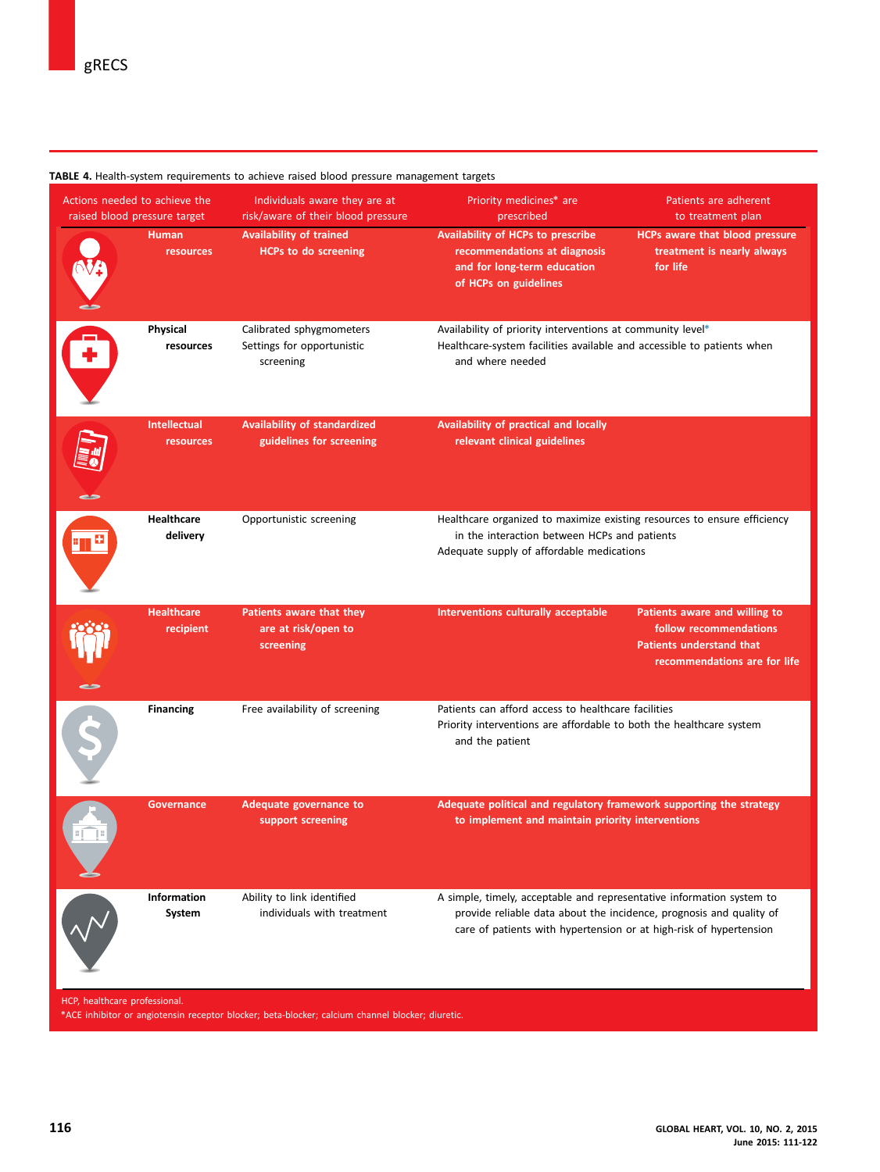#### <span id="page-5-0"></span>TABLE 4. Health-system requirements to achieve raised blood pressure management targets

| Actions needed to achieve the<br>raised blood pressure target |                                  | Individuals aware they are at<br>risk/aware of their blood pressure | Priority medicines* are<br>Patients are adherent<br>prescribed<br>to treatment plan                                                                                                                                |  |
|---------------------------------------------------------------|----------------------------------|---------------------------------------------------------------------|--------------------------------------------------------------------------------------------------------------------------------------------------------------------------------------------------------------------|--|
|                                                               | <b>Human</b><br>resources        | <b>Availability of trained</b><br><b>HCPs to do screening</b>       | Availability of HCPs to prescribe<br><b>HCPs aware that blood pressure</b><br>recommendations at diagnosis<br>treatment is nearly always<br>and for long-term education<br>for life<br>of HCPs on guidelines       |  |
|                                                               | Physical<br>resources            | Calibrated sphygmometers<br>Settings for opportunistic<br>screening | Availability of priority interventions at community level*<br>Healthcare-system facilities available and accessible to patients when<br>and where needed                                                           |  |
|                                                               | <b>Intellectual</b><br>resources | <b>Availability of standardized</b><br>guidelines for screening     | Availability of practical and locally<br>relevant clinical guidelines                                                                                                                                              |  |
|                                                               | <b>Healthcare</b><br>delivery    | Opportunistic screening                                             | Healthcare organized to maximize existing resources to ensure efficiency<br>in the interaction between HCPs and patients<br>Adequate supply of affordable medications                                              |  |
|                                                               | <b>Healthcare</b><br>recipient   | Patients aware that they<br>are at risk/open to<br>screening        | Interventions culturally acceptable<br>Patients aware and willing to<br>follow recommendations<br><b>Patients understand that</b><br>recommendations are for life                                                  |  |
|                                                               | <b>Financing</b>                 | Free availability of screening                                      | Patients can afford access to healthcare facilities<br>Priority interventions are affordable to both the healthcare system<br>and the patient                                                                      |  |
|                                                               | <b>Governance</b>                | Adequate governance to<br>support screening                         | Adequate political and regulatory framework supporting the strategy<br>to implement and maintain priority interventions                                                                                            |  |
|                                                               | Information<br>System            | Ability to link identified<br>individuals with treatment            | A simple, timely, acceptable and representative information system to<br>provide reliable data about the incidence, prognosis and quality of<br>care of patients with hypertension or at high-risk of hypertension |  |

HCP, healthcare professional.

\*ACE inhibitor or angiotensin receptor blocker; beta-blocker; calcium channel blocker; diuretic.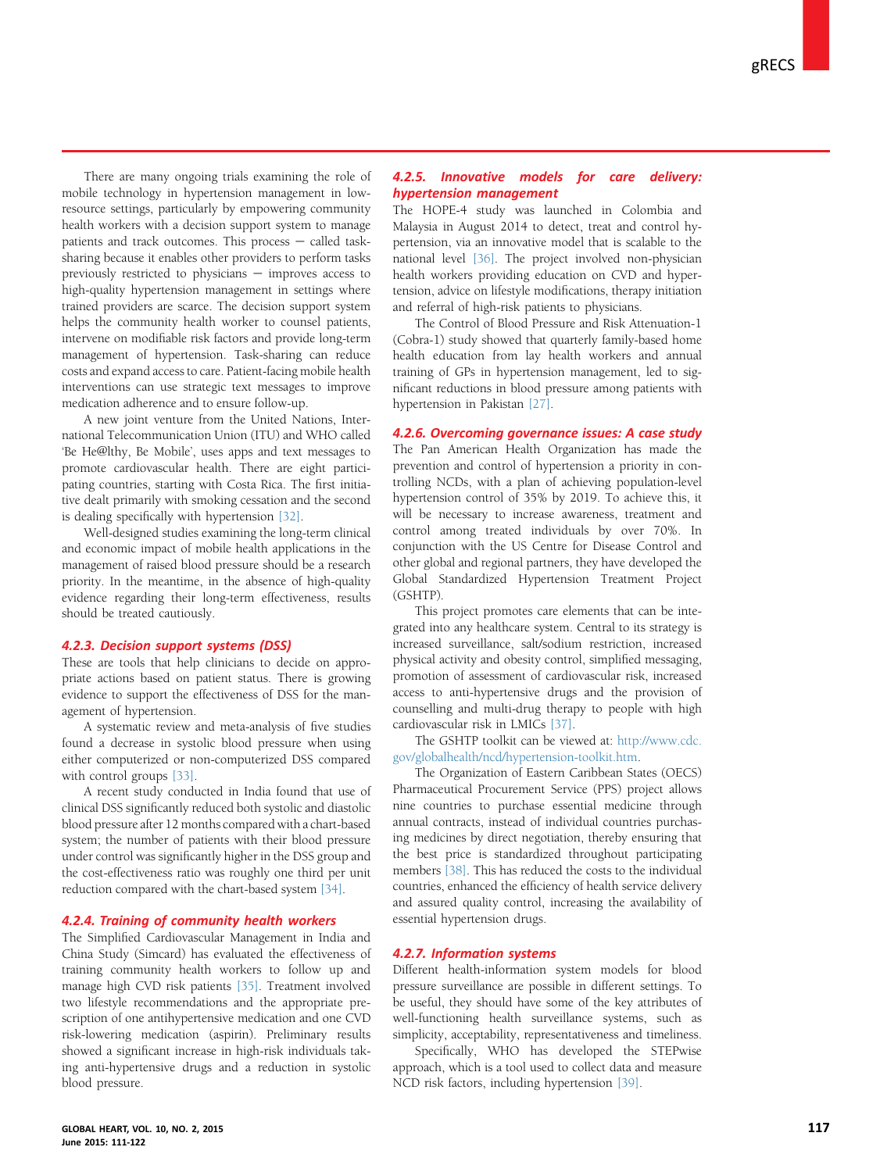There are many ongoing trials examining the role of mobile technology in hypertension management in lowresource settings, particularly by empowering community health workers with a decision support system to manage patients and track outcomes. This process  $-$  called tasksharing because it enables other providers to perform tasks previously restricted to physicians  $-$  improves access to high-quality hypertension management in settings where trained providers are scarce. The decision support system helps the community health worker to counsel patients, intervene on modifiable risk factors and provide long-term management of hypertension. Task-sharing can reduce costs and expand access to care. Patient-facing mobile health interventions can use strategic text messages to improve medication adherence and to ensure follow-up.

A new joint venture from the United Nations, International Telecommunication Union (ITU) and WHO called 'Be He@lthy, Be Mobile', uses apps and text messages to promote cardiovascular health. There are eight participating countries, starting with Costa Rica. The first initiative dealt primarily with smoking cessation and the second is dealing specifically with hypertension [\[32\]](#page-9-0).

Well-designed studies examining the long-term clinical and economic impact of mobile health applications in the management of raised blood pressure should be a research priority. In the meantime, in the absence of high-quality evidence regarding their long-term effectiveness, results should be treated cautiously.

### 4.2.3. Decision support systems (DSS)

These are tools that help clinicians to decide on appropriate actions based on patient status. There is growing evidence to support the effectiveness of DSS for the management of hypertension.

A systematic review and meta-analysis of five studies found a decrease in systolic blood pressure when using either computerized or non-computerized DSS compared with control groups [\[33\]](#page-9-0).

A recent study conducted in India found that use of clinical DSS significantly reduced both systolic and diastolic blood pressure after 12 months compared with a chart-based system; the number of patients with their blood pressure under control was significantly higher in the DSS group and the cost-effectiveness ratio was roughly one third per unit reduction compared with the chart-based system [\[34\].](#page-9-0)

#### 4.2.4. Training of community health workers

The Simplified Cardiovascular Management in India and China Study (Simcard) has evaluated the effectiveness of training community health workers to follow up and manage high CVD risk patients [\[35\]](#page-9-0). Treatment involved two lifestyle recommendations and the appropriate prescription of one antihypertensive medication and one CVD risk-lowering medication (aspirin). Preliminary results showed a significant increase in high-risk individuals taking anti-hypertensive drugs and a reduction in systolic blood pressure.

# 4.2.5. Innovative models for care delivery: hypertension management

The HOPE-4 study was launched in Colombia and Malaysia in August 2014 to detect, treat and control hypertension, via an innovative model that is scalable to the national level [\[36\].](#page-9-0) The project involved non-physician health workers providing education on CVD and hypertension, advice on lifestyle modifications, therapy initiation and referral of high-risk patients to physicians.

The Control of Blood Pressure and Risk Attenuation-1 (Cobra-1) study showed that quarterly family-based home health education from lay health workers and annual training of GPs in hypertension management, led to significant reductions in blood pressure among patients with hypertension in Pakistan [\[27\].](#page-8-0)

# 4.2.6. Overcoming governance issues: A case study

The Pan American Health Organization has made the prevention and control of hypertension a priority in controlling NCDs, with a plan of achieving population-level hypertension control of 35% by 2019. To achieve this, it will be necessary to increase awareness, treatment and control among treated individuals by over 70%. In conjunction with the US Centre for Disease Control and other global and regional partners, they have developed the Global Standardized Hypertension Treatment Project (GSHTP).

This project promotes care elements that can be integrated into any healthcare system. Central to its strategy is increased surveillance, salt/sodium restriction, increased physical activity and obesity control, simplified messaging, promotion of assessment of cardiovascular risk, increased access to anti-hypertensive drugs and the provision of counselling and multi-drug therapy to people with high cardiovascular risk in LMICs [\[37\]](#page-9-0).

The GSHTP toolkit can be viewed at: [http://www.cdc.](http://www.cdc.gov/globalhealth/ncd/hypertension-toolkit.htm) [gov/globalhealth/ncd/hypertension-toolkit.htm.](http://www.cdc.gov/globalhealth/ncd/hypertension-toolkit.htm)

The Organization of Eastern Caribbean States (OECS) Pharmaceutical Procurement Service (PPS) project allows nine countries to purchase essential medicine through annual contracts, instead of individual countries purchasing medicines by direct negotiation, thereby ensuring that the best price is standardized throughout participating members [\[38\].](#page-9-0) This has reduced the costs to the individual countries, enhanced the efficiency of health service delivery and assured quality control, increasing the availability of essential hypertension drugs.

# 4.2.7. Information systems

Different health-information system models for blood pressure surveillance are possible in different settings. To be useful, they should have some of the key attributes of well-functioning health surveillance systems, such as simplicity, acceptability, representativeness and timeliness.

Specifically, WHO has developed the STEPwise approach, which is a tool used to collect data and measure NCD risk factors, including hypertension [\[39\].](#page-9-0)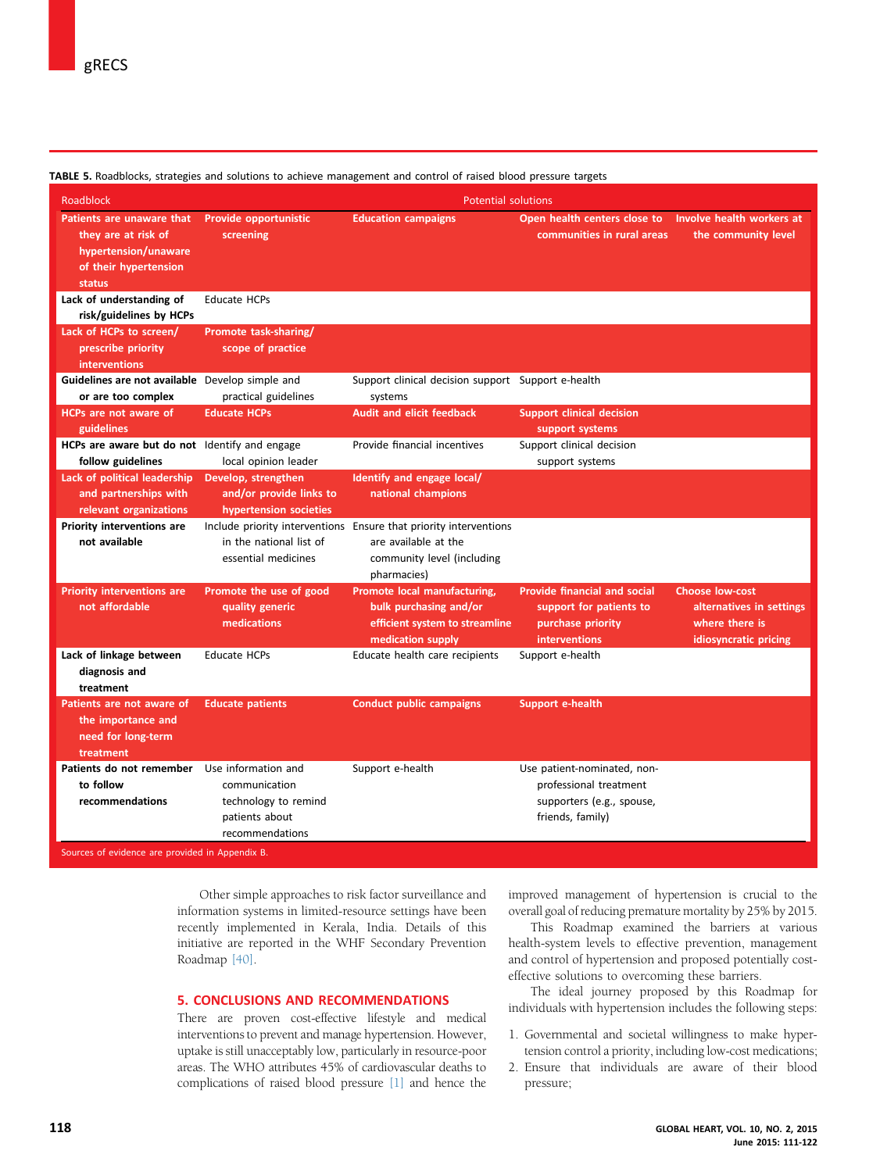| <b>Roadblock</b>                                                                                                                | <b>Potential solutions</b>                                                 |                                                                                                                                        |                                                                                                             |                                                                                               |  |  |
|---------------------------------------------------------------------------------------------------------------------------------|----------------------------------------------------------------------------|----------------------------------------------------------------------------------------------------------------------------------------|-------------------------------------------------------------------------------------------------------------|-----------------------------------------------------------------------------------------------|--|--|
| Patients are unaware that<br>they are at risk of<br>hypertension/unaware<br>of their hypertension<br>status                     | Provide opportunistic<br>screening                                         | <b>Education campaigns</b>                                                                                                             | Open health centers close to Involve health workers at<br>communities in rural areas                        | the community level                                                                           |  |  |
| Lack of understanding of                                                                                                        | <b>Educate HCPs</b>                                                        |                                                                                                                                        |                                                                                                             |                                                                                               |  |  |
| risk/guidelines by HCPs                                                                                                         |                                                                            |                                                                                                                                        |                                                                                                             |                                                                                               |  |  |
| Lack of HCPs to screen/                                                                                                         | Promote task-sharing/                                                      |                                                                                                                                        |                                                                                                             |                                                                                               |  |  |
| prescribe priority                                                                                                              | scope of practice                                                          |                                                                                                                                        |                                                                                                             |                                                                                               |  |  |
| interventions                                                                                                                   |                                                                            |                                                                                                                                        |                                                                                                             |                                                                                               |  |  |
| Guidelines are not available Develop simple and                                                                                 |                                                                            | Support clinical decision support Support e-health                                                                                     |                                                                                                             |                                                                                               |  |  |
| or are too complex                                                                                                              | practical guidelines<br><b>Educate HCPs</b>                                | systems<br><b>Audit and elicit feedback</b>                                                                                            |                                                                                                             |                                                                                               |  |  |
| HCPs are not aware of<br>guidelines                                                                                             |                                                                            |                                                                                                                                        | <b>Support clinical decision</b><br>support systems                                                         |                                                                                               |  |  |
| HCPs are aware but do not Identify and engage                                                                                   |                                                                            | Provide financial incentives                                                                                                           | Support clinical decision                                                                                   |                                                                                               |  |  |
| follow guidelines                                                                                                               | local opinion leader                                                       |                                                                                                                                        | support systems                                                                                             |                                                                                               |  |  |
| Lack of political leadership                                                                                                    | Develop, strengthen                                                        | Identify and engage local/                                                                                                             |                                                                                                             |                                                                                               |  |  |
| and partnerships with                                                                                                           | and/or provide links to                                                    | national champions                                                                                                                     |                                                                                                             |                                                                                               |  |  |
| relevant organizations                                                                                                          | hypertension societies                                                     |                                                                                                                                        |                                                                                                             |                                                                                               |  |  |
| Priority interventions are<br>not available                                                                                     | in the national list of<br>essential medicines                             | Include priority interventions Ensure that priority interventions<br>are available at the<br>community level (including<br>pharmacies) |                                                                                                             |                                                                                               |  |  |
| <b>Priority interventions are</b><br>not affordable                                                                             | Promote the use of good<br>quality generic<br>medications                  | Promote local manufacturing,<br>bulk purchasing and/or<br>efficient system to streamline<br>medication supply                          | <b>Provide financial and social</b><br>support for patients to<br>purchase priority<br><b>interventions</b> | <b>Choose low-cost</b><br>alternatives in settings<br>where there is<br>idiosyncratic pricing |  |  |
| Lack of linkage between<br>diagnosis and<br>treatment                                                                           | <b>Educate HCPs</b>                                                        | Educate health care recipients                                                                                                         | Support e-health                                                                                            |                                                                                               |  |  |
| Patients are not aware of<br>the importance and<br>need for long-term<br>treatment                                              | <b>Educate patients</b>                                                    | <b>Conduct public campaigns</b>                                                                                                        | Support e-health                                                                                            |                                                                                               |  |  |
| Patients do not remember Use information and<br>to follow<br>recommendations<br>Sources of evidence are provided in Appendix B. | communication<br>technology to remind<br>patients about<br>recommendations | Support e-health                                                                                                                       | Use patient-nominated, non-<br>professional treatment<br>supporters (e.g., spouse,<br>friends, family)      |                                                                                               |  |  |

<span id="page-7-0"></span>TABLE 5. Roadblocks, strategies and solutions to achieve management and control of raised blood pressure targets

Other simple approaches to risk factor surveillance and information systems in limited-resource settings have been recently implemented in Kerala, India. Details of this initiative are reported in the WHF Secondary Prevention Roadmap [\[40\].](#page-9-0)

### 5. CONCLUSIONS AND RECOMMENDATIONS

There are proven cost-effective lifestyle and medical interventions to prevent and manage hypertension. However, uptake is still unacceptably low, particularly in resource-poor areas. The WHO attributes 45% of cardiovascular deaths to complications of raised blood pressure [\[1\]](#page-8-0) and hence the

improved management of hypertension is crucial to the overall goal of reducing premature mortality by 25% by 2015.

This Roadmap examined the barriers at various health-system levels to effective prevention, management and control of hypertension and proposed potentially costeffective solutions to overcoming these barriers.

The ideal journey proposed by this Roadmap for individuals with hypertension includes the following steps:

- 1. Governmental and societal willingness to make hypertension control a priority, including low-cost medications;
- 2. Ensure that individuals are aware of their blood pressure;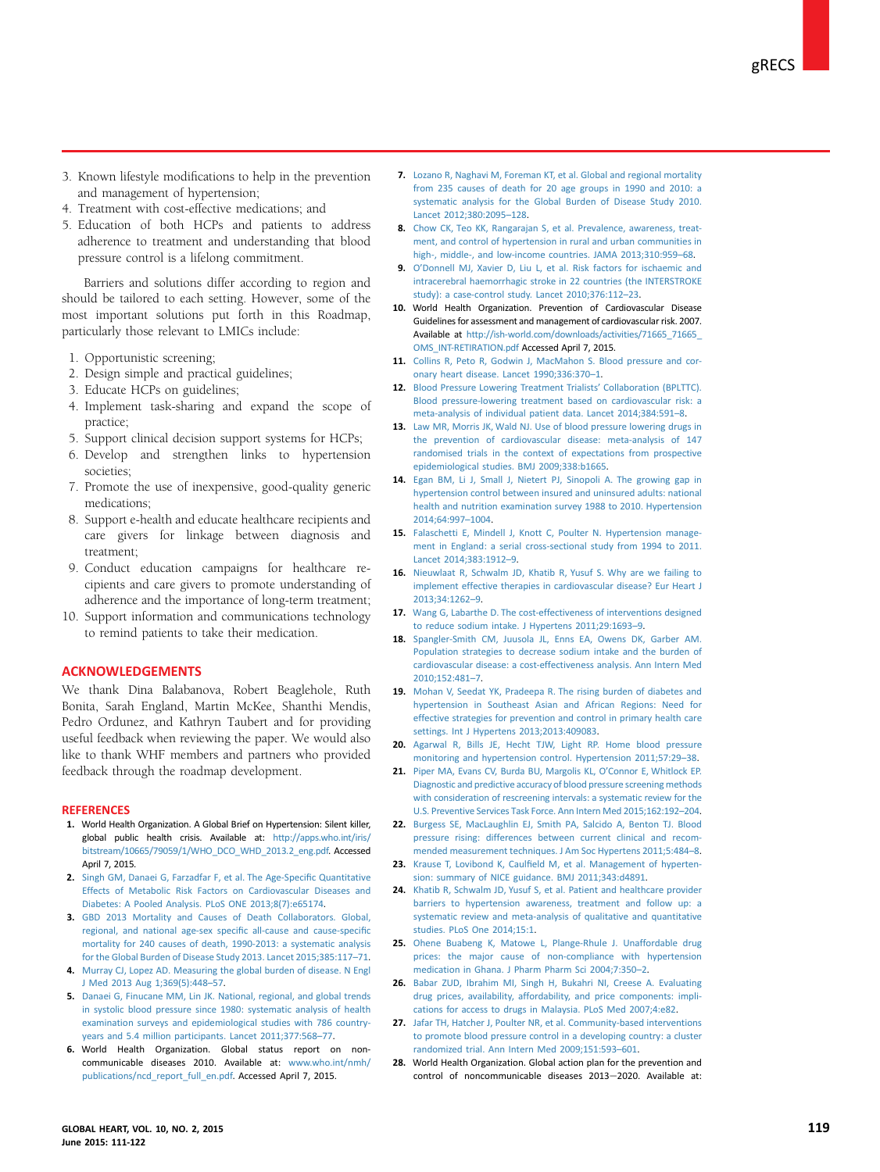- <span id="page-8-0"></span>3. Known lifestyle modifications to help in the prevention and management of hypertension;
- 4. Treatment with cost-effective medications; and
- 5. Education of both HCPs and patients to address adherence to treatment and understanding that blood pressure control is a lifelong commitment.

Barriers and solutions differ according to region and should be tailored to each setting. However, some of the most important solutions put forth in this Roadmap, particularly those relevant to LMICs include:

- 1. Opportunistic screening;
- 2. Design simple and practical guidelines;
- 3. Educate HCPs on guidelines;
- 4. Implement task-sharing and expand the scope of practice;
- 5. Support clinical decision support systems for HCPs;
- 6. Develop and strengthen links to hypertension societies;
- 7. Promote the use of inexpensive, good-quality generic medications;
- 8. Support e-health and educate healthcare recipients and care givers for linkage between diagnosis and treatment;
- 9. Conduct education campaigns for healthcare recipients and care givers to promote understanding of adherence and the importance of long-term treatment;
- 10. Support information and communications technology to remind patients to take their medication.

#### ACKNOWLEDGEMENTS

We thank Dina Balabanova, Robert Beaglehole, Ruth Bonita, Sarah England, Martin McKee, Shanthi Mendis, Pedro Ordunez, and Kathryn Taubert and for providing useful feedback when reviewing the paper. We would also like to thank WHF members and partners who provided feedback through the roadmap development.

#### **REFERENCES**

- 1. World Health Organization. A Global Brief on Hypertension: Silent killer, global public health crisis. Available at: [http://apps.who.int/iris/](http://apps.who.int/iris/bitstream/10665/79059/1/WHO_DCO_WHD_2013.2_eng.pdf) [bitstream/10665/79059/1/WHO\\_DCO\\_WHD\\_2013.2\\_eng.pdf.](http://apps.who.int/iris/bitstream/10665/79059/1/WHO_DCO_WHD_2013.2_eng.pdf) Accessed April 7, 2015.
- 2. [Singh GM, Danaei G, Farzadfar F, et al. The Age-Speci](http://refhub.elsevier.com/S2211-8160(15)00148-9/sref1)fic Quantitative [Effects of Metabolic Risk Factors on Cardiovascular Diseases and](http://refhub.elsevier.com/S2211-8160(15)00148-9/sref1) [Diabetes: A Pooled Analysis. PLoS ONE 2013;8\(7\):e65174](http://refhub.elsevier.com/S2211-8160(15)00148-9/sref1).
- 3. [GBD 2013 Mortality and Causes of Death Collaborators. Global,](http://refhub.elsevier.com/S2211-8160(15)00148-9/sref2) [regional, and national age-sex speci](http://refhub.elsevier.com/S2211-8160(15)00148-9/sref2)fic all-cause and cause-specific [mortality for 240 causes of death, 1990-2013: a systematic analysis](http://refhub.elsevier.com/S2211-8160(15)00148-9/sref2) [for the Global Burden of Disease Study 2013. Lancet 2015;385:117](http://refhub.elsevier.com/S2211-8160(15)00148-9/sref2)–71.
- 4. [Murray CJ, Lopez AD. Measuring the global burden of disease. N Engl](http://refhub.elsevier.com/S2211-8160(15)00148-9/sref2b) [J Med 2013 Aug 1;369\(5\):448](http://refhub.elsevier.com/S2211-8160(15)00148-9/sref2b)–57.
- 5. [Danaei G, Finucane MM, Lin JK. National, regional, and global trends](http://refhub.elsevier.com/S2211-8160(15)00148-9/sref5a) [in systolic blood pressure since 1980: systematic analysis of health](http://refhub.elsevier.com/S2211-8160(15)00148-9/sref5a) [examination surveys and epidemiological studies with 786 country](http://refhub.elsevier.com/S2211-8160(15)00148-9/sref5a)[years and 5.4 million participants. Lancet 2011;377:568](http://refhub.elsevier.com/S2211-8160(15)00148-9/sref5a)–77.
- 6. World Health Organization. Global status report on noncommunicable diseases 2010. Available at: [www.who.int/nmh/](http://www.who.int/nmh/publications/ncd_report_full_en.pdf) [publications/ncd\\_report\\_full\\_en.pdf.](http://www.who.int/nmh/publications/ncd_report_full_en.pdf) Accessed April 7, 2015.
- 7. [Lozano R, Naghavi M, Foreman KT, et al. Global and regional mortality](http://refhub.elsevier.com/S2211-8160(15)00148-9/sref3) [from 235 causes of death for 20 age groups in 1990 and 2010: a](http://refhub.elsevier.com/S2211-8160(15)00148-9/sref3) [systematic analysis for the Global Burden of Disease Study 2010.](http://refhub.elsevier.com/S2211-8160(15)00148-9/sref3) [Lancet 2012;380:2095](http://refhub.elsevier.com/S2211-8160(15)00148-9/sref3)–128.
- 8. [Chow CK, Teo KK, Rangarajan S, et al. Prevalence, awareness, treat](http://refhub.elsevier.com/S2211-8160(15)00148-9/sref4)[ment, and control of hypertension in rural and urban communities in](http://refhub.elsevier.com/S2211-8160(15)00148-9/sref4) [high-, middle-, and low-income countries. JAMA 2013;310:959](http://refhub.elsevier.com/S2211-8160(15)00148-9/sref4)–68.
- 9. O'[Donnell MJ, Xavier D, Liu L, et al. Risk factors for ischaemic and](http://refhub.elsevier.com/S2211-8160(15)00148-9/sref5) [intracerebral haemorrhagic stroke in 22 countries \(the INTERSTROKE](http://refhub.elsevier.com/S2211-8160(15)00148-9/sref5) [study\): a case-control study. Lancet 2010;376:112](http://refhub.elsevier.com/S2211-8160(15)00148-9/sref5)–23.
- 10. World Health Organization. Prevention of Cardiovascular Disease Guidelines for assessment and management of cardiovascular risk. 2007. Available at http://ish-world.com/downloads/activities/71665\_71665 [OMS\\_INT-RETIRATION.pdf](http://ish-world.com/downloads/activities/71665_71665_OMS_INT-RETIRATION.pdf) Accessed April 7, 2015.
- 11. Collins R. Peto R, Godwin J, MacMahon S. Blood pressure and cor[onary heart disease. Lancet 1990;336:370](http://refhub.elsevier.com/S2211-8160(15)00148-9/sref7)–1.
- 12. [Blood Pressure Lowering Treatment Trialists](http://refhub.elsevier.com/S2211-8160(15)00148-9/sref8)' Collaboration (BPLTTC). [Blood pressure-lowering treatment based on cardiovascular risk: a](http://refhub.elsevier.com/S2211-8160(15)00148-9/sref8) [meta-analysis of individual patient data. Lancet 2014;384:591](http://refhub.elsevier.com/S2211-8160(15)00148-9/sref8)–8.
- 13. Law MR, Morris JK, Wald NJ, Use of blood pressure lowering drugs in [the prevention of cardiovascular disease: meta-analysis of 147](http://refhub.elsevier.com/S2211-8160(15)00148-9/sref9) [randomised trials in the context of expectations from prospective](http://refhub.elsevier.com/S2211-8160(15)00148-9/sref9) [epidemiological studies. BMJ 2009;338:b1665](http://refhub.elsevier.com/S2211-8160(15)00148-9/sref9).
- 14. [Egan BM, Li J, Small J, Nietert PJ, Sinopoli A. The growing gap in](http://refhub.elsevier.com/S2211-8160(15)00148-9/sref10) [hypertension control between insured and uninsured adults: national](http://refhub.elsevier.com/S2211-8160(15)00148-9/sref10) [health and nutrition examination survey 1988 to 2010. Hypertension](http://refhub.elsevier.com/S2211-8160(15)00148-9/sref10) [2014;64:997](http://refhub.elsevier.com/S2211-8160(15)00148-9/sref10)–1004.
- 15. [Falaschetti E, Mindell J, Knott C, Poulter N. Hypertension manage](http://refhub.elsevier.com/S2211-8160(15)00148-9/sref11)[ment in England: a serial cross-sectional study from 1994 to 2011.](http://refhub.elsevier.com/S2211-8160(15)00148-9/sref11) [Lancet 2014;383:1912](http://refhub.elsevier.com/S2211-8160(15)00148-9/sref11)–9.
- 16. [Nieuwlaat R, Schwalm JD, Khatib R, Yusuf S. Why are we failing to](http://refhub.elsevier.com/S2211-8160(15)00148-9/sref12) [implement effective therapies in cardiovascular disease? Eur Heart J](http://refhub.elsevier.com/S2211-8160(15)00148-9/sref12) [2013;34:1262](http://refhub.elsevier.com/S2211-8160(15)00148-9/sref12)–9.
- 17. [Wang G, Labarthe D. The cost-effectiveness of interventions designed](http://refhub.elsevier.com/S2211-8160(15)00148-9/sref13) [to reduce sodium intake. J Hypertens 2011;29:1693](http://refhub.elsevier.com/S2211-8160(15)00148-9/sref13)–9.
- 18. [Spangler-Smith CM, Juusola JL, Enns EA, Owens DK, Garber AM.](http://refhub.elsevier.com/S2211-8160(15)00148-9/sref14) [Population strategies to decrease sodium intake and the burden of](http://refhub.elsevier.com/S2211-8160(15)00148-9/sref14) [cardiovascular disease: a cost-effectiveness analysis. Ann Intern Med](http://refhub.elsevier.com/S2211-8160(15)00148-9/sref14) [2010;152:481](http://refhub.elsevier.com/S2211-8160(15)00148-9/sref14)–7.
- 19. [Mohan V, Seedat YK, Pradeepa R. The rising burden of diabetes and](http://refhub.elsevier.com/S2211-8160(15)00148-9/sref15) [hypertension in Southeast Asian and African Regions: Need for](http://refhub.elsevier.com/S2211-8160(15)00148-9/sref15) [effective strategies for prevention and control in primary health care](http://refhub.elsevier.com/S2211-8160(15)00148-9/sref15) [settings. Int J Hypertens 2013;2013:409083](http://refhub.elsevier.com/S2211-8160(15)00148-9/sref15).
- 20. [Agarwal R, Bills JE, Hecht TJW, Light RP. Home blood pressure](http://refhub.elsevier.com/S2211-8160(15)00148-9/sref16) [monitoring and hypertension control. Hypertension 2011;57:29](http://refhub.elsevier.com/S2211-8160(15)00148-9/sref16)–38.
- 21. [Piper MA, Evans CV, Burda BU, Margolis KL, O](http://refhub.elsevier.com/S2211-8160(15)00148-9/sref17)'Connor E, Whitlock EP. [Diagnostic and predictive accuracy of blood pressure screening methods](http://refhub.elsevier.com/S2211-8160(15)00148-9/sref17) [with consideration of rescreening intervals: a systematic review for the](http://refhub.elsevier.com/S2211-8160(15)00148-9/sref17) [U.S. Preventive Services Task Force. Ann Intern Med 2015;162:192](http://refhub.elsevier.com/S2211-8160(15)00148-9/sref17)–204.
- 22. [Burgess SE, MacLaughlin EJ, Smith PA, Salcido A, Benton TJ. Blood](http://refhub.elsevier.com/S2211-8160(15)00148-9/sref18) [pressure rising: differences between current clinical and recom](http://refhub.elsevier.com/S2211-8160(15)00148-9/sref18)[mended measurement techniques. J Am Soc Hypertens 2011;5:484](http://refhub.elsevier.com/S2211-8160(15)00148-9/sref18)–8.
- 23. Krause T, Lovibond K, Caulfi[eld M, et al. Management of hyperten](http://refhub.elsevier.com/S2211-8160(15)00148-9/sref19)[sion: summary of NICE guidance. BMJ 2011;343:d4891.](http://refhub.elsevier.com/S2211-8160(15)00148-9/sref19)
- 24. [Khatib R, Schwalm JD, Yusuf S, et al. Patient and healthcare provider](http://refhub.elsevier.com/S2211-8160(15)00148-9/sref20) [barriers to hypertension awareness, treatment and follow up: a](http://refhub.elsevier.com/S2211-8160(15)00148-9/sref20) [systematic review and meta-analysis of qualitative and quantitative](http://refhub.elsevier.com/S2211-8160(15)00148-9/sref20) [studies. PLoS One 2014;15:1.](http://refhub.elsevier.com/S2211-8160(15)00148-9/sref20)
- 25. [Ohene Buabeng K, Matowe L, Plange-Rhule J. Unaffordable drug](http://refhub.elsevier.com/S2211-8160(15)00148-9/sref21) [prices: the major cause of non-compliance with hypertension](http://refhub.elsevier.com/S2211-8160(15)00148-9/sref21) [medication in Ghana. J Pharm Pharm Sci 2004;7:350](http://refhub.elsevier.com/S2211-8160(15)00148-9/sref21)–2.
- 26. [Babar ZUD, Ibrahim MI, Singh H, Bukahri NI, Creese A. Evaluating](http://refhub.elsevier.com/S2211-8160(15)00148-9/sref22) [drug prices, availability, affordability, and price components: impli](http://refhub.elsevier.com/S2211-8160(15)00148-9/sref22)[cations for access to drugs in Malaysia. PLoS Med 2007;4:e82.](http://refhub.elsevier.com/S2211-8160(15)00148-9/sref22)
- 27. [Jafar TH, Hatcher J, Poulter NR, et al. Community-based interventions](http://refhub.elsevier.com/S2211-8160(15)00148-9/sref23) [to promote blood pressure control in a developing country: a cluster](http://refhub.elsevier.com/S2211-8160(15)00148-9/sref23) [randomized trial. Ann Intern Med 2009;151:593](http://refhub.elsevier.com/S2211-8160(15)00148-9/sref23)–601.
- 28. World Health Organization. Global action plan for the prevention and control of noncommunicable diseases 2013-2020. Available at: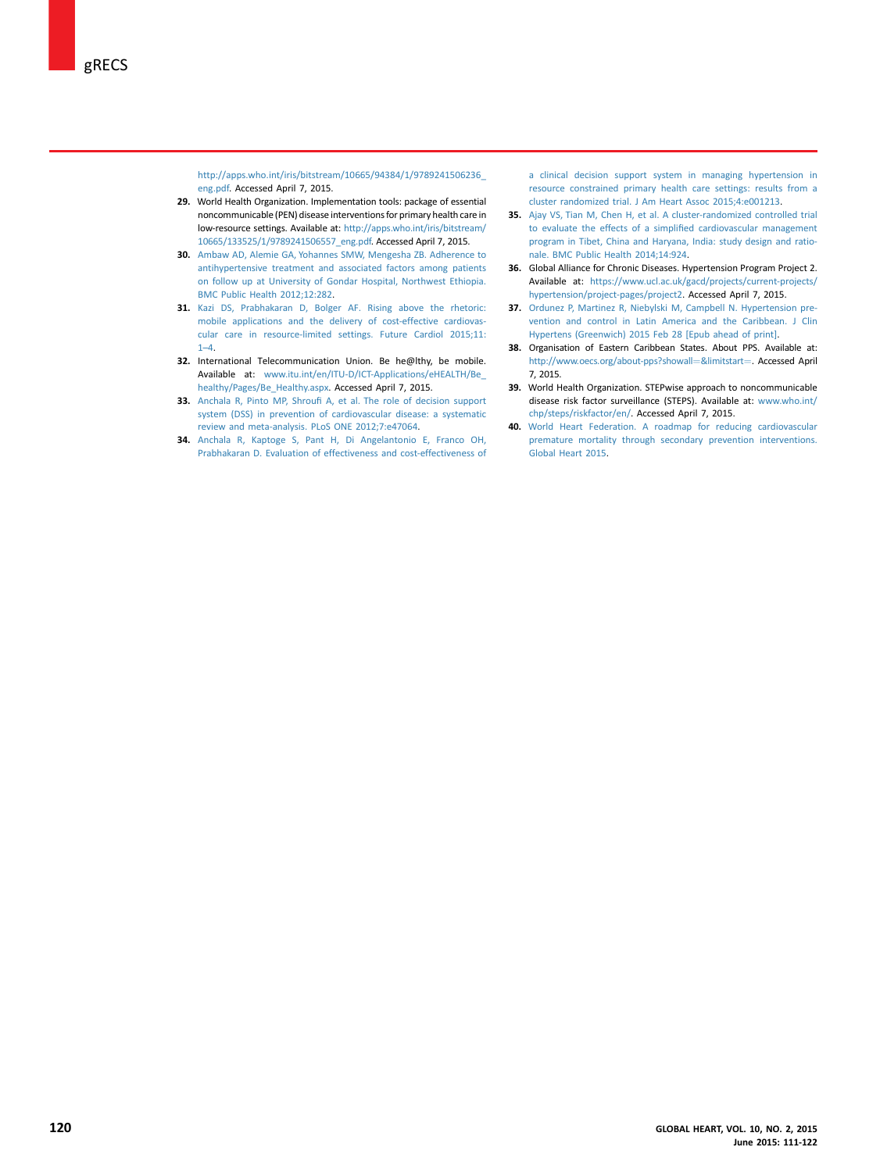<span id="page-9-0"></span>[http://apps.who.int/iris/bitstream/10665/94384/1/9789241506236\\_](http://apps.who.int/iris/bitstream/10665/94384/1/9789241506236_eng.pdf) [eng.pdf.](http://apps.who.int/iris/bitstream/10665/94384/1/9789241506236_eng.pdf) Accessed April 7, 2015.

- 29. World Health Organization. Implementation tools: package of essential noncommunicable (PEN) disease interventions for primary health care in low-resource settings. Available at: [http://apps.who.int/iris/bitstream/](http://apps.who.int/iris/bitstream/10665/133525/1/9789241506557_eng.pdf) [10665/133525/1/9789241506557\\_eng.pdf.](http://apps.who.int/iris/bitstream/10665/133525/1/9789241506557_eng.pdf) Accessed April 7, 2015.
- 30. [Ambaw AD, Alemie GA, Yohannes SMW, Mengesha ZB. Adherence to](http://refhub.elsevier.com/S2211-8160(15)00148-9/sref24) [antihypertensive treatment and associated factors among patients](http://refhub.elsevier.com/S2211-8160(15)00148-9/sref24) [on follow up at University of Gondar Hospital, Northwest Ethiopia.](http://refhub.elsevier.com/S2211-8160(15)00148-9/sref24) [BMC Public Health 2012;12:282.](http://refhub.elsevier.com/S2211-8160(15)00148-9/sref24)
- 31. [Kazi DS, Prabhakaran D, Bolger AF. Rising above the rhetoric:](http://refhub.elsevier.com/S2211-8160(15)00148-9/sref25) [mobile applications and the delivery of cost-effective cardiovas](http://refhub.elsevier.com/S2211-8160(15)00148-9/sref25)[cular care in resource-limited settings. Future Cardiol 2015;11:](http://refhub.elsevier.com/S2211-8160(15)00148-9/sref25) [1](http://refhub.elsevier.com/S2211-8160(15)00148-9/sref25)–4.
- 32. International Telecommunication Union. Be he@lthy, be mobile. Available at: [www.itu.int/en/ITU-D/ICT-Applications/eHEALTH/Be\\_](http://www.itu.int/en/ITU-D/ICT-Applications/eHEALTH/Be_healthy/Pages/Be_Healthy.aspx) [healthy/Pages/Be\\_Healthy.aspx](http://www.itu.int/en/ITU-D/ICT-Applications/eHEALTH/Be_healthy/Pages/Be_Healthy.aspx). Accessed April 7, 2015.
- 33. Anchala R, Pinto MP, Shroufi [A, et al. The role of decision support](http://refhub.elsevier.com/S2211-8160(15)00148-9/sref26) [system \(DSS\) in prevention of cardiovascular disease: a systematic](http://refhub.elsevier.com/S2211-8160(15)00148-9/sref26) [review and meta-analysis. PLoS ONE 2012;7:e47064.](http://refhub.elsevier.com/S2211-8160(15)00148-9/sref26)
- 34. [Anchala R, Kaptoge S, Pant H, Di Angelantonio E, Franco OH,](http://refhub.elsevier.com/S2211-8160(15)00148-9/sref27) [Prabhakaran D. Evaluation of effectiveness and cost-effectiveness of](http://refhub.elsevier.com/S2211-8160(15)00148-9/sref27)

[a clinical decision support system in managing hypertension in](http://refhub.elsevier.com/S2211-8160(15)00148-9/sref27) [resource constrained primary health care settings: results from a](http://refhub.elsevier.com/S2211-8160(15)00148-9/sref27) [cluster randomized trial. J Am Heart Assoc 2015;4:e001213](http://refhub.elsevier.com/S2211-8160(15)00148-9/sref27).

- 35. [Ajay VS, Tian M, Chen H, et al. A cluster-randomized controlled trial](http://refhub.elsevier.com/S2211-8160(15)00148-9/sref28) [to evaluate the effects of a simpli](http://refhub.elsevier.com/S2211-8160(15)00148-9/sref28)fied cardiovascular management [program in Tibet, China and Haryana, India: study design and ratio](http://refhub.elsevier.com/S2211-8160(15)00148-9/sref28)[nale. BMC Public Health 2014;14:924.](http://refhub.elsevier.com/S2211-8160(15)00148-9/sref28)
- 36. Global Alliance for Chronic Diseases. Hypertension Program Project 2. Available at: [https://www.ucl.ac.uk/gacd/projects/current-projects/](https://www.ucl.ac.uk/gacd/projects/current-projects/hypertension/project-pages/project2) [hypertension/project-pages/project2.](https://www.ucl.ac.uk/gacd/projects/current-projects/hypertension/project-pages/project2) Accessed April 7, 2015.
- 37. [Ordunez P, Martinez R, Niebylski M, Campbell N. Hypertension pre](http://refhub.elsevier.com/S2211-8160(15)00148-9/sref29)[vention and control in Latin America and the Caribbean. J Clin](http://refhub.elsevier.com/S2211-8160(15)00148-9/sref29) [Hypertens \(Greenwich\) 2015 Feb 28 \[Epub ahead of print\]](http://refhub.elsevier.com/S2211-8160(15)00148-9/sref29).
- 38. Organisation of Eastern Caribbean States. About PPS. Available at: [http://www.oecs.org/about-pps?showall](http://www.oecs.org/about-pps?showall=%26limitstart=)=[&limitstart](http://www.oecs.org/about-pps?showall=%26limitstart=)=. Accessed April 7, 2015.
- 39. World Health Organization. STEPwise approach to noncommunicable disease risk factor surveillance (STEPS). Available at: [www.who.int/](http://www.who.int/chp/steps/riskfactor/en/) [chp/steps/riskfactor/en/](http://www.who.int/chp/steps/riskfactor/en/). Accessed April 7, 2015.
- 40. [World Heart Federation. A roadmap for reducing cardiovascular](http://refhub.elsevier.com/S2211-8160(15)00148-9/sref30) [premature mortality through secondary prevention interventions.](http://refhub.elsevier.com/S2211-8160(15)00148-9/sref30) [Global Heart 2015.](http://refhub.elsevier.com/S2211-8160(15)00148-9/sref30)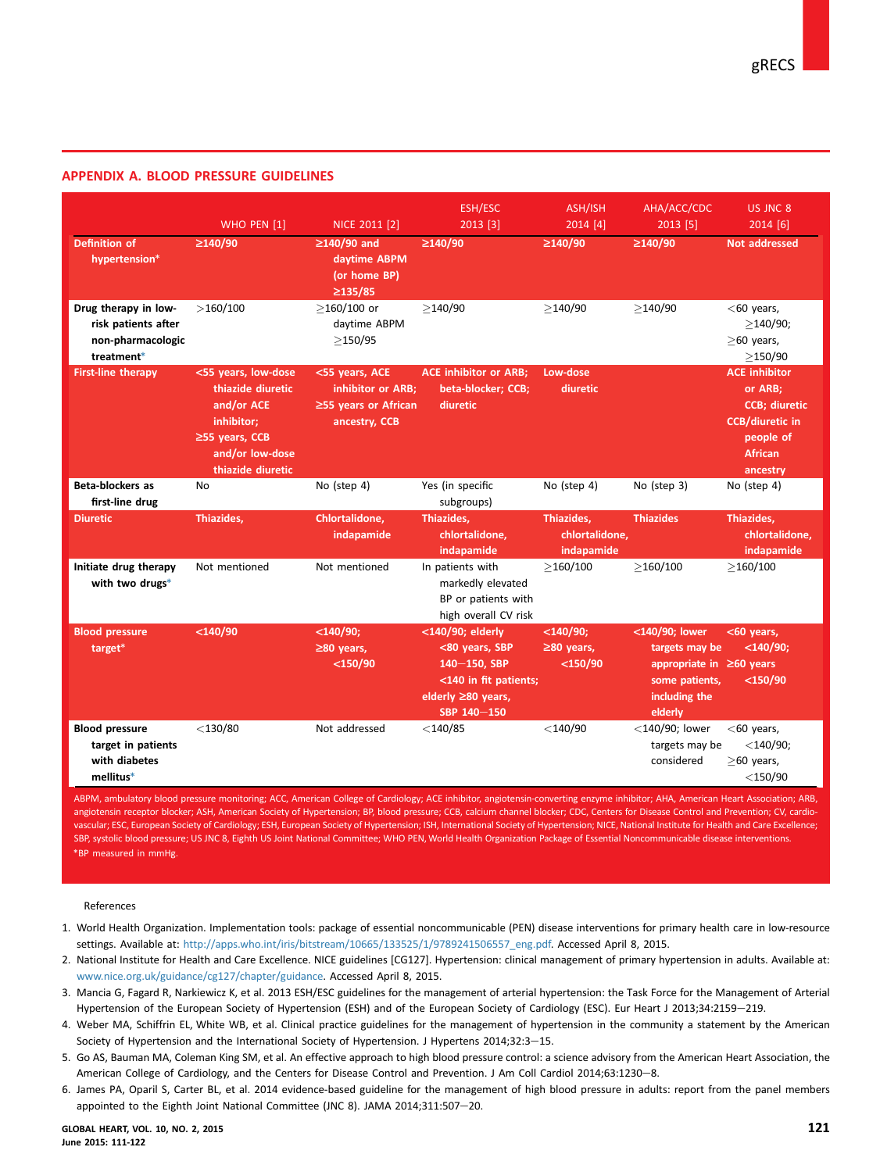# <span id="page-10-0"></span>APPENDIX A. BLOOD PRESSURE GUIDELINES

| <b>Definition of</b><br>hypertension*                                          | WHO PEN [1]<br>$\geq$ 140/90                                                                                                         | NICE 2011 [2]<br>$\geq$ 140/90 and<br>daytime ABPM<br>(or home BP)                 | <b>ESH/ESC</b><br>2013 [3]<br>$\geq$ 140/90                                                                            | ASH/ISH<br>2014 [4]<br>$\geq$ 140/90          | AHA/ACC/CDC<br>2013 [5]<br>$\geq$ 140/90                                                                         | US JNC 8<br>2014 [6]<br>Not addressed                                                                                         |
|--------------------------------------------------------------------------------|--------------------------------------------------------------------------------------------------------------------------------------|------------------------------------------------------------------------------------|------------------------------------------------------------------------------------------------------------------------|-----------------------------------------------|------------------------------------------------------------------------------------------------------------------|-------------------------------------------------------------------------------------------------------------------------------|
| Drug therapy in low-<br>risk patients after<br>non-pharmacologic<br>treatment* | >160/100                                                                                                                             | $\geq$ 135/85<br>$>160/100$ or<br>daytime ABPM<br>>150/95                          | >140/90                                                                                                                | >140/90                                       | >140/90                                                                                                          | $<$ 60 years,<br>>140/90;<br>$>60$ years,<br>>150/90                                                                          |
| <b>First-line therapy</b>                                                      | <55 years, low-dose<br>thiazide diuretic<br>and/or ACE<br>inhibitor;<br>$\geq$ 55 years, CCB<br>and/or low-dose<br>thiazide diuretic | <55 years, ACE<br>inhibitor or ARB;<br>$\geq$ 55 years or African<br>ancestry, CCB | <b>ACE inhibitor or ARB;</b><br>beta-blocker; CCB;<br>diuretic                                                         | Low-dose<br>diuretic                          |                                                                                                                  | <b>ACE inhibitor</b><br>or ARB;<br><b>CCB</b> ; diuretic<br><b>CCB/diuretic in</b><br>people of<br><b>African</b><br>ancestry |
| <b>Beta-blockers as</b><br>first-line drug                                     | No                                                                                                                                   | No (step 4)                                                                        | Yes (in specific<br>subgroups)                                                                                         | No (step 4)                                   | No (step 3)                                                                                                      | No (step 4)                                                                                                                   |
| <b>Diuretic</b>                                                                | Thiazides,                                                                                                                           | Chlortalidone,<br>indapamide                                                       | Thiazides,<br>chlortalidone.<br>indapamide                                                                             | Thiazides,<br>chlortalidone,<br>indapamide    | <b>Thiazides</b>                                                                                                 | Thiazides,<br>chlortalidone,<br>indapamide                                                                                    |
| Initiate drug therapy<br>with two drugs*                                       | Not mentioned                                                                                                                        | Not mentioned                                                                      | In patients with<br>markedly elevated<br>BP or patients with<br>high overall CV risk                                   | >160/100                                      | >160/100                                                                                                         | >160/100                                                                                                                      |
| <b>Blood pressure</b><br>target*                                               | $<$ 140/90                                                                                                                           | $<$ 140/90;<br>$\geq$ 80 years,<br>$<$ 150/90                                      | <140/90; elderly<br><80 years, SBP<br>140-150, SBP<br><140 in fit patients;<br>elderly $\geq 80$ years,<br>SBP 140-150 | $<$ 140/90;<br>$\geq$ 80 years,<br>$<$ 150/90 | <140/90; lower<br>targets may be<br>appropriate in $\geq 60$ years<br>some patients,<br>including the<br>elderly | <60 years,<br>$<$ 140/90;<br>$<$ 150/90                                                                                       |
| <b>Blood pressure</b><br>target in patients<br>with diabetes<br>mellitus*      | $<$ 130/80                                                                                                                           | Not addressed                                                                      | $<$ 140/85                                                                                                             | $<$ 140/90                                    | $<$ 140/90; lower<br>targets may be<br>considered                                                                | $<$ 60 years,<br>$<$ 140/90;<br>$>60$ years,<br>$<$ 150/90                                                                    |

ABPM, ambulatory blood pressure monitoring; ACC, American College of Cardiology; ACE inhibitor, angiotensin-converting enzyme inhibitor; AHA, American Heart Association; ARB, angiotensin receptor blocker; ASH, American Society of Hypertension; BP, blood pressure; CCB, calcium channel blocker; CDC, Centers for Disease Control and Prevention; CV, cardiovascular; ESC, European Society of Cardiology; ESH, European Society of Hypertension; ISH, International Society of Hypertension; NICE, National Institute for Health and Care Excellence; SBP, systolic blood pressure; US JNC 8, Eighth US Joint National Committee; WHO PEN, World Health Organization Package of Essential Noncommunicable disease interventions. \*BP measured in mmHg.

References

- 1. World Health Organization. Implementation tools: package of essential noncommunicable (PEN) disease interventions for primary health care in low-resource settings. Available at: [http://apps.who.int/iris/bitstream/10665/133525/1/9789241506557\\_eng.pdf.](http://apps.who.int/iris/bitstream/10665/133525/1/9789241506557_eng.pdf) Accessed April 8, 2015.
- 2. National Institute for Health and Care Excellence. NICE guidelines [CG127]. Hypertension: clinical management of primary hypertension in adults. Available at: [www.nice.org.uk/guidance/cg127/chapter/guidance.](http://www.nice.org.uk/guidance/cg127/chapter/guidance) Accessed April 8, 2015.
- 3. Mancia G, Fagard R, Narkiewicz K, et al. 2013 ESH/ESC guidelines for the management of arterial hypertension: the Task Force for the Management of Arterial Hypertension of the European Society of Hypertension (ESH) and of the European Society of Cardiology (ESC). Eur Heart J 2013;34:2159-219.
- 4. Weber MA, Schiffrin EL, White WB, et al. Clinical practice guidelines for the management of hypertension in the community a statement by the American Society of Hypertension and the International Society of Hypertension. J Hypertens 2014;32:3-15.
- 5. Go AS, Bauman MA, Coleman King SM, et al. An effective approach to high blood pressure control: a science advisory from the American Heart Association, the American College of Cardiology, and the Centers for Disease Control and Prevention. J Am Coll Cardiol 2014;63:1230-8.
- 6. James PA, Oparil S, Carter BL, et al. 2014 evidence-based guideline for the management of high blood pressure in adults: report from the panel members appointed to the Eighth Joint National Committee (JNC 8). JAMA 2014;311:507-20.